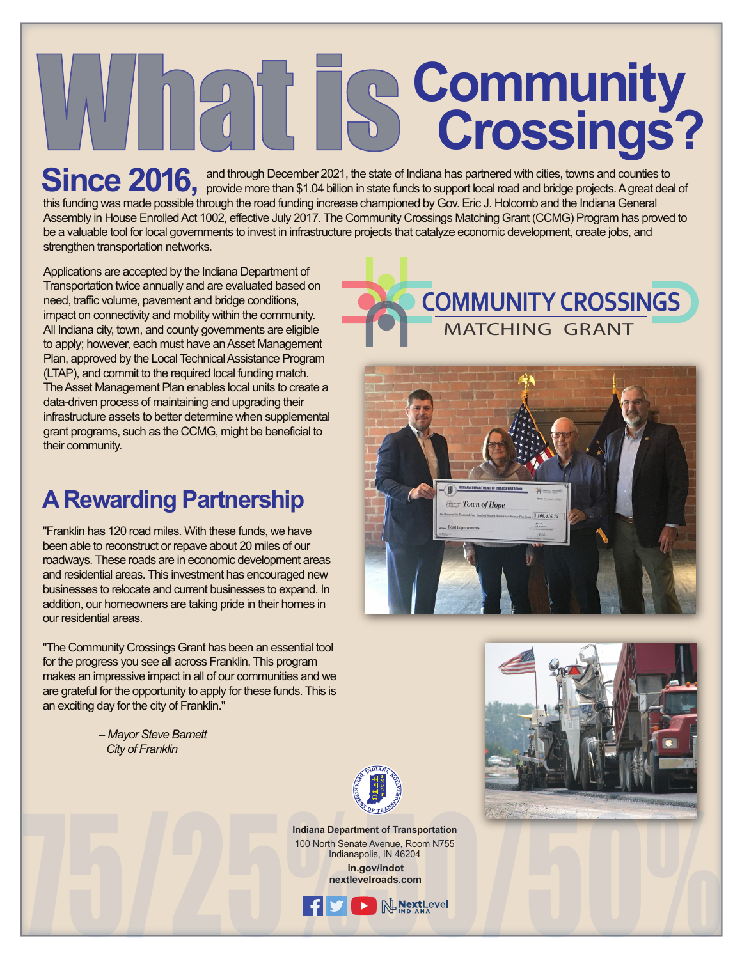# **WHACE SCOMMUNITY**<br>
Crossings?

**Ring and through December 2021, the state of Indiana has partnered with cities, towns and counties to** Since 2016, and through December 2021, the state of Indiana has partnered with cities, towns and counties to support local road and bridge projects. A great deal of this funding was made possible through the road funding increase championed by Gov. Eric J. Holcomb and the Indiana General Assembly in House Enrolled Act 1002, effective July 2017. The Community Crossings Matching Grant (CCMG) Program has proved to be a valuable tool for local governments to invest in infrastructure projects that catalyze economic development, create jobs, and strengthen transportation networks.

Applications are accepted by the Indiana Department of Transportation twice annually and are evaluated based on need, traffic volume, pavement and bridge conditions, impact on connectivity and mobility within the community. All Indiana city, town, and county governments are eligible to apply; however, each must have an Asset Management Plan, approved by the Local Technical Assistance Program (LTAP), and commit to the required local funding match. The Asset Management Plan enables local units to create a data-driven process of maintaining and upgrading their infrastructure assets to better determine when supplemental grant programs, such as the CCMG, might be beneficial to their community.

### **A Rewarding Partnership**

"Franklin has 120 road miles. With these funds, we have been able to reconstruct or repave about 20 miles of our roadways. These roads are in economic development areas and residential areas. This investment has encouraged new businesses to relocate and current businesses to expand. In addition, our homeowners are taking pride in their homes in our residential areas.

"The Community Crossings Grant has been an essential tool for the progress you see all across Franklin. This program makes an impressive impact in all of our communities and we are grateful for the opportunity to apply for these funds. This is an exciting day for the city of Franklin."

> *-- Mayor Steve Barnett City of Franklin*









**Indiana Department of Transportation** 100 North Senate Avenue, Room N755 Indianapolis, IN 46204

 **in.gov/indot nextlevelroads.com**